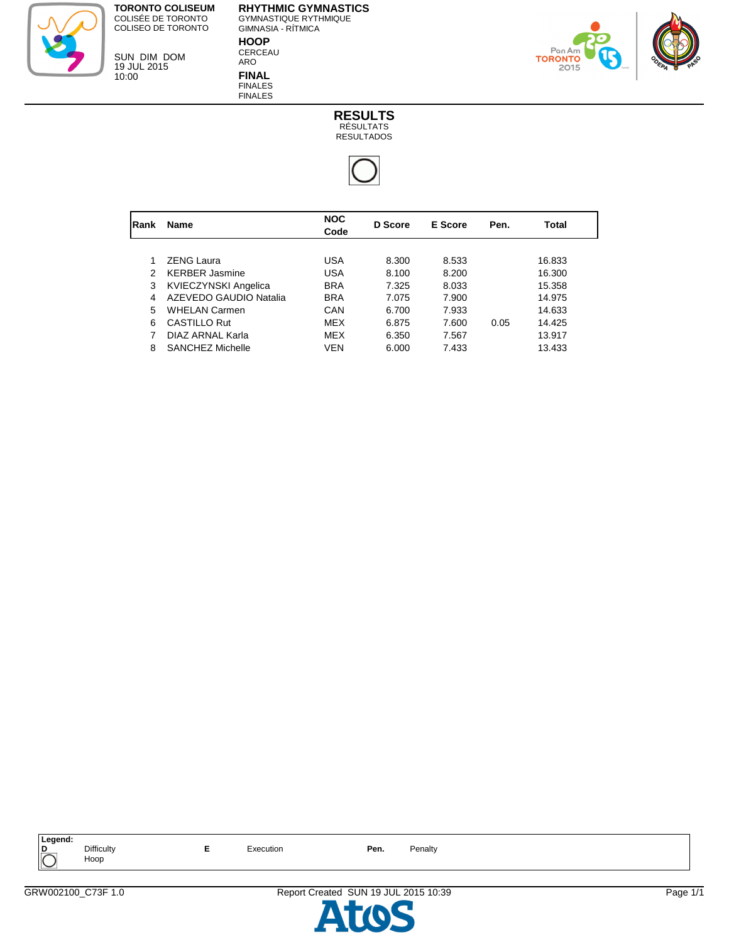> SUN DIM DOM 19 JUL 2015 10:00

**RHYTHMIC GYMNASTICS** GYMNASTIQUE RYTHMIQUE GIMNASIA - RÍTMICA **HOOP** CERCEAU



ARO **FINAL** FINALES FINALES





| Rank | <b>Name</b>            | <b>NOC</b><br>Code | D Score | E Score | Pen. | Total  |  |
|------|------------------------|--------------------|---------|---------|------|--------|--|
|      |                        |                    |         |         |      |        |  |
|      | <b>ZENG Laura</b>      | USA                | 8.300   | 8.533   |      | 16.833 |  |
| 2    | <b>KERBER Jasmine</b>  | USA                | 8.100   | 8.200   |      | 16.300 |  |
| 3    | KVIECZYNSKI Angelica   | <b>BRA</b>         | 7.325   | 8.033   |      | 15.358 |  |
| 4    | AZEVEDO GAUDIO Natalia | <b>BRA</b>         | 7.075   | 7.900   |      | 14.975 |  |
| 5    | <b>WHELAN Carmen</b>   | CAN                | 6.700   | 7.933   |      | 14.633 |  |
| 6    | <b>CASTILLO Rut</b>    | <b>MFX</b>         | 6.875   | 7.600   | 0.05 | 14.425 |  |
|      | DIAZ ARNAL Karla       | <b>MEX</b>         | 6.350   | 7.567   |      | 13.917 |  |
| 8    | SANCHEZ Michelle       | VEN                | 6.000   | 7.433   |      | 13.433 |  |
|      |                        |                    |         |         |      |        |  |



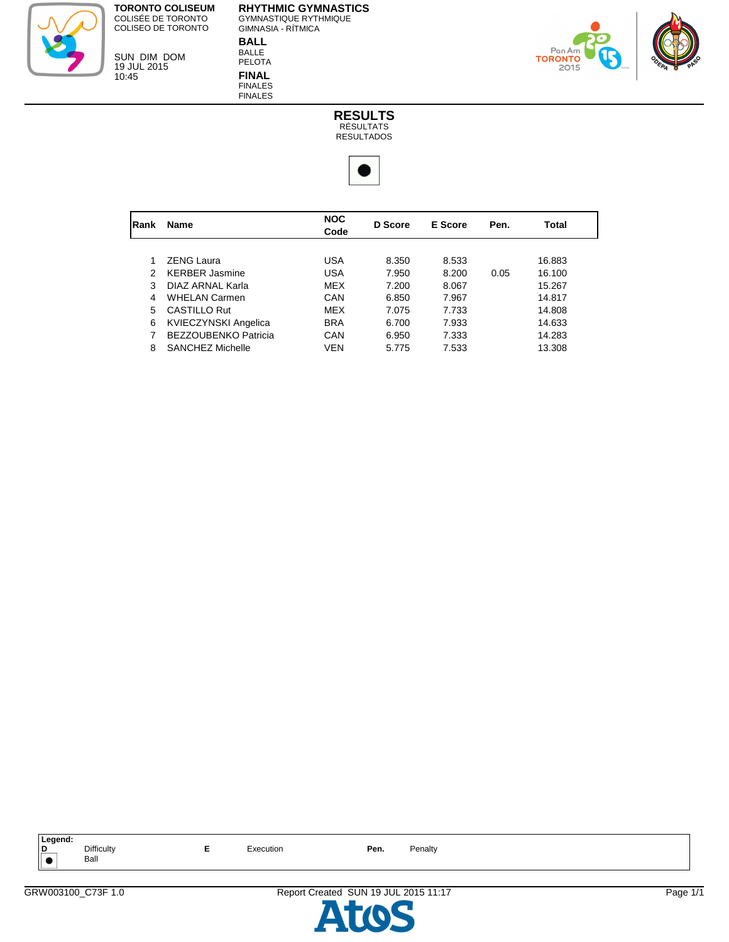> SUN DIM DOM 19 JUL 2015 10:45

**RHYTHMIC GYMNASTICS** GYMNASTIQUE RYTHMIQUE GIMNASIA - RÍTMICA **BALL** BALLE



PELOTA **FINAL** FINALES FINALES





| Rank | <b>Name</b>                 | <b>NOC</b><br>Code | D Score | E Score | Pen. | Total  |  |
|------|-----------------------------|--------------------|---------|---------|------|--------|--|
|      |                             |                    |         |         |      |        |  |
|      | <b>ZENG Laura</b>           | <b>USA</b>         | 8.350   | 8.533   |      | 16.883 |  |
| 2    | <b>KERBER Jasmine</b>       | <b>USA</b>         | 7.950   | 8.200   | 0.05 | 16.100 |  |
| 3    | DIAZ ARNAL Karla            | MEX                | 7.200   | 8.067   |      | 15.267 |  |
| 4    | <b>WHELAN Carmen</b>        | CAN                | 6.850   | 7.967   |      | 14.817 |  |
| 5    | <b>CASTILLO Rut</b>         | <b>MEX</b>         | 7.075   | 7.733   |      | 14.808 |  |
| 6    | <b>KVIECZYNSKI Angelica</b> | <b>BRA</b>         | 6.700   | 7.933   |      | 14.633 |  |
|      | <b>BEZZOUBENKO Patricia</b> | CAN                | 6.950   | 7.333   |      | 14.283 |  |
| 8    | <b>SANCHEZ Michelle</b>     | <b>VEN</b>         | 5.775   | 7.533   |      | 13.308 |  |
|      |                             |                    |         |         |      |        |  |



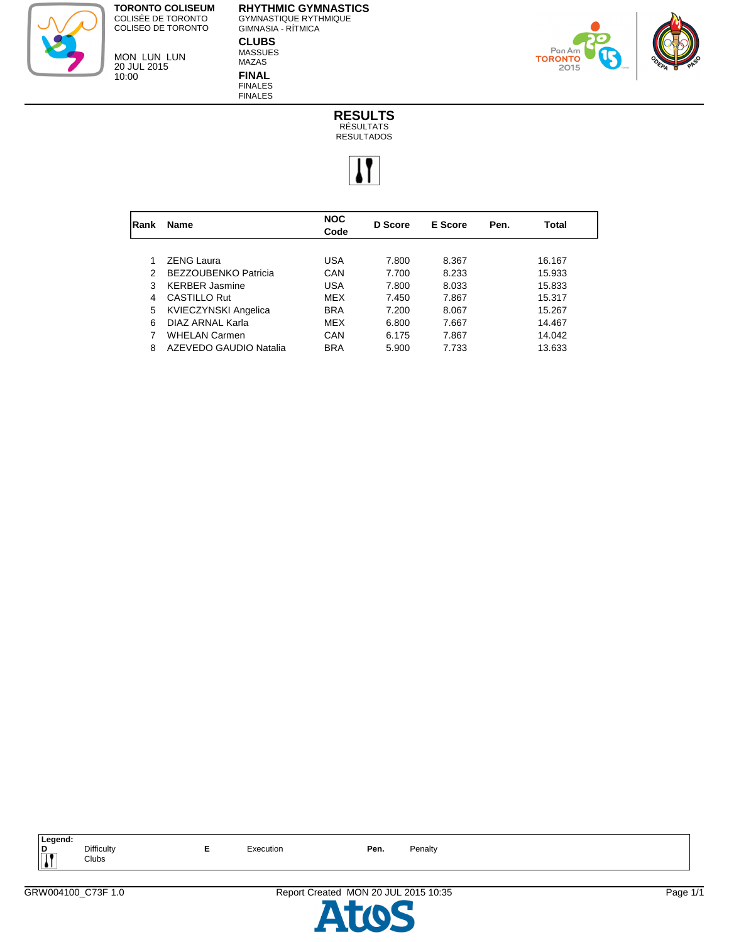MON LUN LUN 20 JUL 2015

10:00

**RHYTHMIC GYMNASTICS** GYMNASTIQUE RYTHMIQUE GIMNASIA - RÍTMICA **CLUBS** MASSUES



**FINAL** FINALES FINALES

MAZAS





| <b>IRank</b> | <b>Name</b>                 | <b>NOC</b><br>Code | D Score | E Score | Pen. | Total  |
|--------------|-----------------------------|--------------------|---------|---------|------|--------|
|              |                             |                    |         |         |      |        |
|              | <b>ZENG Laura</b>           | USA                | 7.800   | 8.367   |      | 16.167 |
| 2            | <b>BEZZOUBENKO Patricia</b> | CAN                | 7.700   | 8.233   |      | 15.933 |
| 3            | <b>KERBER Jasmine</b>       | USA                | 7.800   | 8.033   |      | 15.833 |
| 4            | <b>CASTILLO Rut</b>         | MEX                | 7.450   | 7.867   |      | 15.317 |
| 5            | <b>KVIECZYNSKI Angelica</b> | <b>BRA</b>         | 7.200   | 8.067   |      | 15.267 |
| 6            | DIAZ ARNAL Karla            | MEX                | 6.800   | 7.667   |      | 14.467 |
|              | <b>WHELAN Carmen</b>        | CAN                | 6.175   | 7.867   |      | 14.042 |
| 8            | AZEVEDO GAUDIO Natalia      | <b>BRA</b>         | 5.900   | 7.733   |      | 13.633 |
|              |                             |                    |         |         |      |        |